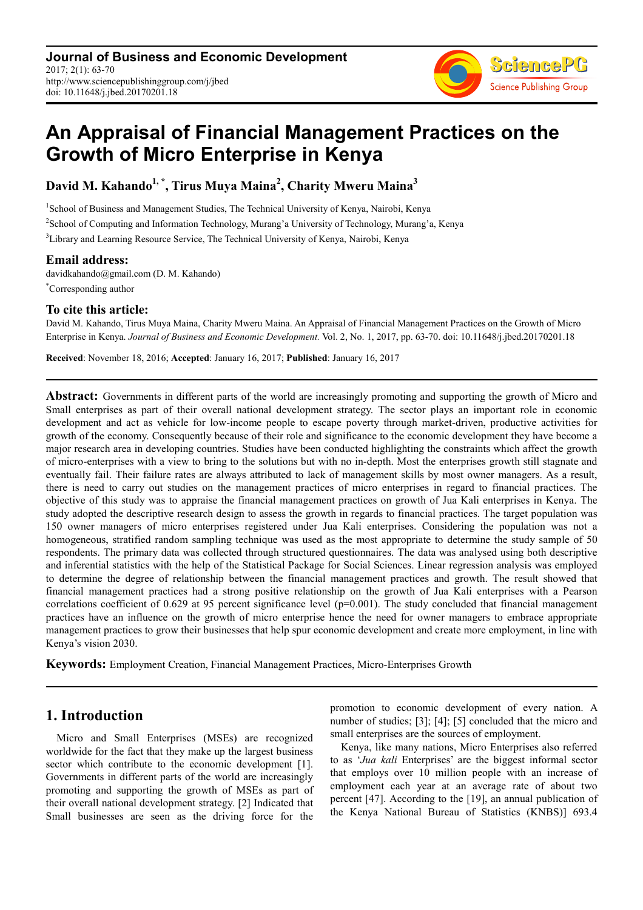**Journal of Business and Economic Development** 2017; 2(1): 63-70 http://www.sciencepublishinggroup.com/j/jbed doi: 10.11648/j.jbed.20170201.18



# **An Appraisal of Financial Management Practices on the Growth of Micro Enterprise in Kenya**

**David M. Kahando1, \*, Tirus Muya Maina<sup>2</sup> , Charity Mweru Maina<sup>3</sup>**

<sup>1</sup>School of Business and Management Studies, The Technical University of Kenya, Nairobi, Kenya 2 School of Computing and Information Technology, Murang'a University of Technology, Murang'a, Kenya <sup>3</sup>Library and Learning Resource Service, The Technical University of Kenya, Nairobi, Kenya

## **Email address:**

davidkahando@gmail.com (D. M. Kahando) \*Corresponding author

## **To cite this article:**

David M. Kahando, Tirus Muya Maina, Charity Mweru Maina. An Appraisal of Financial Management Practices on the Growth of Micro Enterprise in Kenya. *Journal of Business and Economic Development.* Vol. 2, No. 1, 2017, pp. 63-70. doi: 10.11648/j.jbed.20170201.18

**Received**: November 18, 2016; **Accepted**: January 16, 2017; **Published**: January 16, 2017

**Abstract:** Governments in different parts of the world are increasingly promoting and supporting the growth of Micro and Small enterprises as part of their overall national development strategy. The sector plays an important role in economic development and act as vehicle for low-income people to escape poverty through market-driven, productive activities for growth of the economy. Consequently because of their role and significance to the economic development they have become a major research area in developing countries. Studies have been conducted highlighting the constraints which affect the growth of micro-enterprises with a view to bring to the solutions but with no in-depth. Most the enterprises growth still stagnate and eventually fail. Their failure rates are always attributed to lack of management skills by most owner managers. As a result, there is need to carry out studies on the management practices of micro enterprises in regard to financial practices. The objective of this study was to appraise the financial management practices on growth of Jua Kali enterprises in Kenya. The study adopted the descriptive research design to assess the growth in regards to financial practices. The target population was 150 owner managers of micro enterprises registered under Jua Kali enterprises. Considering the population was not a homogeneous, stratified random sampling technique was used as the most appropriate to determine the study sample of 50 respondents. The primary data was collected through structured questionnaires. The data was analysed using both descriptive and inferential statistics with the help of the Statistical Package for Social Sciences. Linear regression analysis was employed to determine the degree of relationship between the financial management practices and growth. The result showed that financial management practices had a strong positive relationship on the growth of Jua Kali enterprises with a Pearson correlations coefficient of  $0.629$  at 95 percent significance level ( $p=0.001$ ). The study concluded that financial management practices have an influence on the growth of micro enterprise hence the need for owner managers to embrace appropriate management practices to grow their businesses that help spur economic development and create more employment, in line with Kenya's vision 2030.

**Keywords:** Employment Creation, Financial Management Practices, Micro-Enterprises Growth

# **1. Introduction**

Micro and Small Enterprises (MSEs) are recognized worldwide for the fact that they make up the largest business sector which contribute to the economic development [1]. Governments in different parts of the world are increasingly promoting and supporting the growth of MSEs as part of their overall national development strategy. [2] Indicated that Small businesses are seen as the driving force for the promotion to economic development of every nation. A number of studies; [3]; [4]; [5] concluded that the micro and small enterprises are the sources of employment.

Kenya, like many nations, Micro Enterprises also referred to as '*Jua kali* Enterprises' are the biggest informal sector that employs over 10 million people with an increase of employment each year at an average rate of about two percent [47]. According to the [19], an annual publication of the Kenya National Bureau of Statistics (KNBS)] 693.4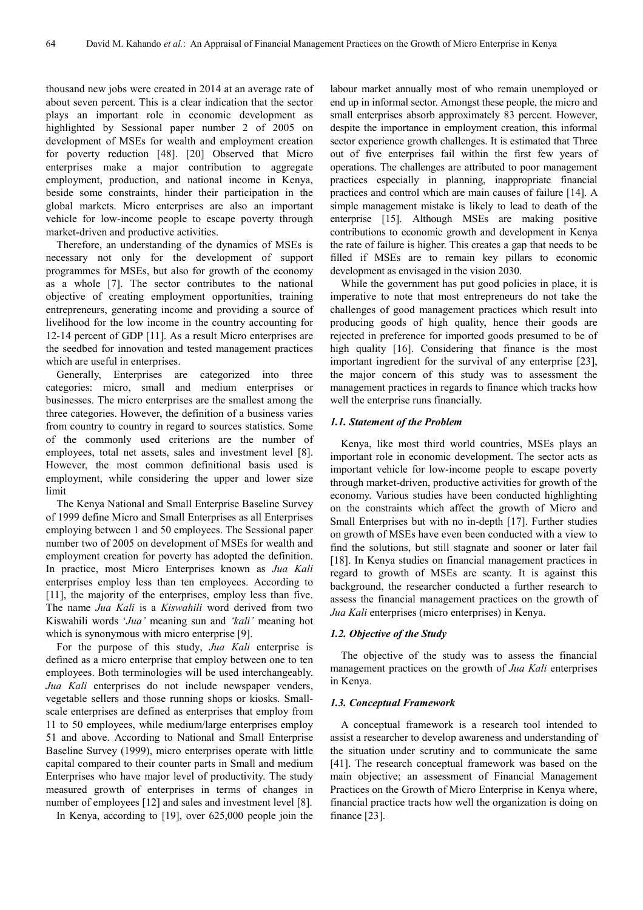thousand new jobs were created in 2014 at an average rate of about seven percent. This is a clear indication that the sector plays an important role in economic development as highlighted by Sessional paper number 2 of 2005 on development of MSEs for wealth and employment creation for poverty reduction [48]. [20] Observed that Micro enterprises make a major contribution to aggregate employment, production, and national income in Kenya, beside some constraints, hinder their participation in the global markets. Micro enterprises are also an important vehicle for low-income people to escape poverty through market-driven and productive activities.

Therefore, an understanding of the dynamics of MSEs is necessary not only for the development of support programmes for MSEs, but also for growth of the economy as a whole [7]. The sector contributes to the national objective of creating employment opportunities, training entrepreneurs, generating income and providing a source of livelihood for the low income in the country accounting for 12-14 percent of GDP [11]. As a result Micro enterprises are the seedbed for innovation and tested management practices which are useful in enterprises.

Generally, Enterprises are categorized into three categories: micro, small and medium enterprises or businesses. The micro enterprises are the smallest among the three categories. However, the definition of a business varies from country to country in regard to sources statistics. Some of the commonly used criterions are the number of employees, total net assets, sales and investment level [8]. However, the most common definitional basis used is employment, while considering the upper and lower size limit

The Kenya National and Small Enterprise Baseline Survey of 1999 define Micro and Small Enterprises as all Enterprises employing between 1 and 50 employees. The Sessional paper number two of 2005 on development of MSEs for wealth and employment creation for poverty has adopted the definition. In practice, most Micro Enterprises known as *Jua Kali* enterprises employ less than ten employees. According to [11], the majority of the enterprises, employ less than five. The name *Jua Kali* is a *Kiswahili* word derived from two Kiswahili words '*Jua'* meaning sun and *'kali'* meaning hot which is synonymous with micro enterprise [9].

For the purpose of this study, *Jua Kali* enterprise is defined as a micro enterprise that employ between one to ten employees. Both terminologies will be used interchangeably. *Jua Kali* enterprises do not include newspaper venders, vegetable sellers and those running shops or kiosks. Smallscale enterprises are defined as enterprises that employ from 11 to 50 employees, while medium/large enterprises employ 51 and above. According to National and Small Enterprise Baseline Survey (1999), micro enterprises operate with little capital compared to their counter parts in Small and medium Enterprises who have major level of productivity. The study measured growth of enterprises in terms of changes in number of employees [12] and sales and investment level [8].

In Kenya, according to [19], over 625,000 people join the

labour market annually most of who remain unemployed or end up in informal sector. Amongst these people, the micro and small enterprises absorb approximately 83 percent. However, despite the importance in employment creation, this informal sector experience growth challenges. It is estimated that Three out of five enterprises fail within the first few years of operations. The challenges are attributed to poor management practices especially in planning, inappropriate financial practices and control which are main causes of failure [14]. A simple management mistake is likely to lead to death of the enterprise [15]. Although MSEs are making positive contributions to economic growth and development in Kenya the rate of failure is higher. This creates a gap that needs to be filled if MSEs are to remain key pillars to economic development as envisaged in the vision 2030.

While the government has put good policies in place, it is imperative to note that most entrepreneurs do not take the challenges of good management practices which result into producing goods of high quality, hence their goods are rejected in preference for imported goods presumed to be of high quality [16]. Considering that finance is the most important ingredient for the survival of any enterprise [23], the major concern of this study was to assessment the management practices in regards to finance which tracks how well the enterprise runs financially.

#### *1.1. Statement of the Problem*

Kenya, like most third world countries, MSEs plays an important role in economic development. The sector acts as important vehicle for low-income people to escape poverty through market-driven, productive activities for growth of the economy. Various studies have been conducted highlighting on the constraints which affect the growth of Micro and Small Enterprises but with no in-depth [17]. Further studies on growth of MSEs have even been conducted with a view to find the solutions, but still stagnate and sooner or later fail [18]. In Kenya studies on financial management practices in regard to growth of MSEs are scanty. It is against this background, the researcher conducted a further research to assess the financial management practices on the growth of *Jua Kali* enterprises (micro enterprises) in Kenya.

#### *1.2. Objective of the Study*

The objective of the study was to assess the financial management practices on the growth of *Jua Kali* enterprises in Kenya.

#### *1.3. Conceptual Framework*

A conceptual framework is a research tool intended to assist a researcher to develop awareness and understanding of the situation under scrutiny and to communicate the same [41]. The research conceptual framework was based on the main objective; an assessment of Financial Management Practices on the Growth of Micro Enterprise in Kenya where, financial practice tracts how well the organization is doing on finance [23].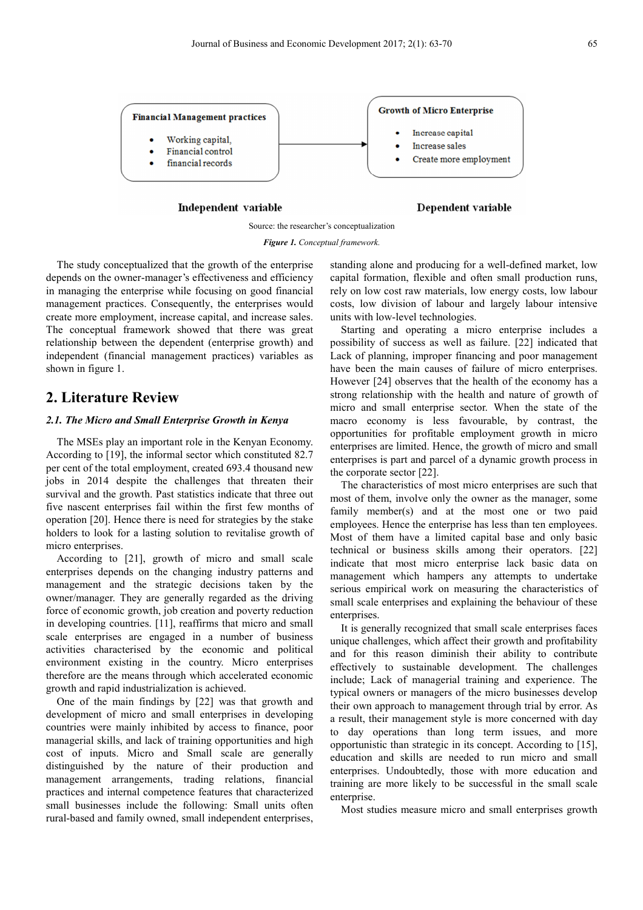

Independent variable

Dependent variable

Source: the researcher's conceptualization *Figure 1. Conceptual framework.* 

The study conceptualized that the growth of the enterprise depends on the owner-manager's effectiveness and efficiency in managing the enterprise while focusing on good financial management practices. Consequently, the enterprises would create more employment, increase capital, and increase sales. The conceptual framework showed that there was great relationship between the dependent (enterprise growth) and independent (financial management practices) variables as shown in figure 1.

# **2. Literature Review**

#### *2.1. The Micro and Small Enterprise Growth in Kenya*

The MSEs play an important role in the Kenyan Economy. According to [19], the informal sector which constituted 82.7 per cent of the total employment, created 693.4 thousand new jobs in 2014 despite the challenges that threaten their survival and the growth. Past statistics indicate that three out five nascent enterprises fail within the first few months of operation [20]. Hence there is need for strategies by the stake holders to look for a lasting solution to revitalise growth of micro enterprises.

According to [21], growth of micro and small scale enterprises depends on the changing industry patterns and management and the strategic decisions taken by the owner/manager. They are generally regarded as the driving force of economic growth, job creation and poverty reduction in developing countries. [11], reaffirms that micro and small scale enterprises are engaged in a number of business activities characterised by the economic and political environment existing in the country. Micro enterprises therefore are the means through which accelerated economic growth and rapid industrialization is achieved.

One of the main findings by [22] was that growth and development of micro and small enterprises in developing countries were mainly inhibited by access to finance, poor managerial skills, and lack of training opportunities and high cost of inputs. Micro and Small scale are generally distinguished by the nature of their production and management arrangements, trading relations, financial practices and internal competence features that characterized small businesses include the following: Small units often rural-based and family owned, small independent enterprises, standing alone and producing for a well-defined market, low capital formation, flexible and often small production runs, rely on low cost raw materials, low energy costs, low labour costs, low division of labour and largely labour intensive units with low-level technologies.

Starting and operating a micro enterprise includes a possibility of success as well as failure. [22] indicated that Lack of planning, improper financing and poor management have been the main causes of failure of micro enterprises. However [24] observes that the health of the economy has a strong relationship with the health and nature of growth of micro and small enterprise sector. When the state of the macro economy is less favourable, by contrast, the opportunities for profitable employment growth in micro enterprises are limited. Hence, the growth of micro and small enterprises is part and parcel of a dynamic growth process in the corporate sector [22].

The characteristics of most micro enterprises are such that most of them, involve only the owner as the manager, some family member(s) and at the most one or two paid employees. Hence the enterprise has less than ten employees. Most of them have a limited capital base and only basic technical or business skills among their operators. [22] indicate that most micro enterprise lack basic data on management which hampers any attempts to undertake serious empirical work on measuring the characteristics of small scale enterprises and explaining the behaviour of these enterprises.

It is generally recognized that small scale enterprises faces unique challenges, which affect their growth and profitability and for this reason diminish their ability to contribute effectively to sustainable development. The challenges include; Lack of managerial training and experience. The typical owners or managers of the micro businesses develop their own approach to management through trial by error. As a result, their management style is more concerned with day to day operations than long term issues, and more opportunistic than strategic in its concept. According to [15], education and skills are needed to run micro and small enterprises. Undoubtedly, those with more education and training are more likely to be successful in the small scale enterprise.

Most studies measure micro and small enterprises growth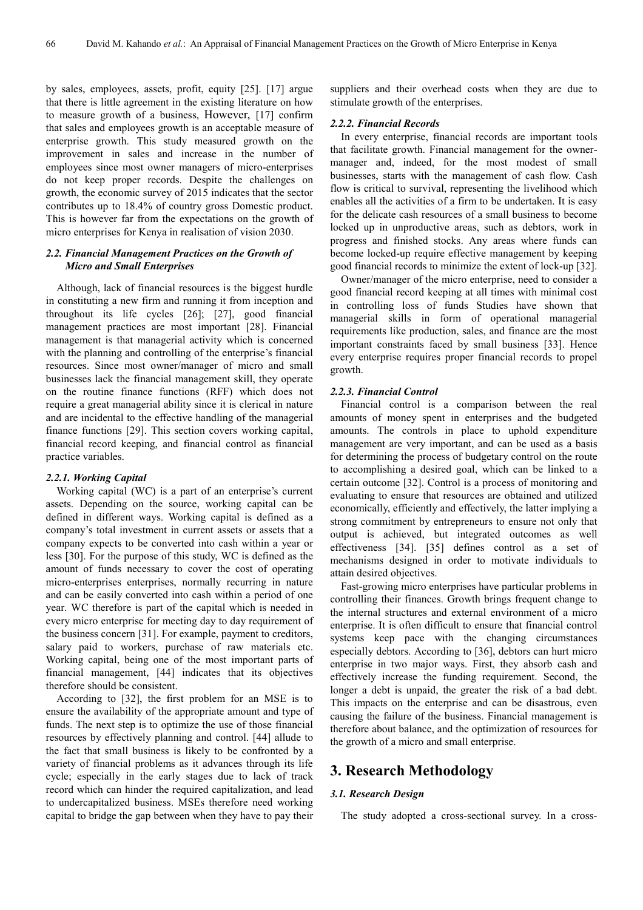by sales, employees, assets, profit, equity [25]. [17] argue that there is little agreement in the existing literature on how to measure growth of a business, However, [17] confirm that sales and employees growth is an acceptable measure of enterprise growth. This study measured growth on the improvement in sales and increase in the number of employees since most owner managers of micro-enterprises do not keep proper records. Despite the challenges on growth, the economic survey of 2015 indicates that the sector contributes up to 18.4% of country gross Domestic product. This is however far from the expectations on the growth of micro enterprises for Kenya in realisation of vision 2030.

#### *2.2. Financial Management Practices on the Growth of Micro and Small Enterprises*

Although, lack of financial resources is the biggest hurdle in constituting a new firm and running it from inception and throughout its life cycles [26]; [27], good financial management practices are most important [28]. Financial management is that managerial activity which is concerned with the planning and controlling of the enterprise's financial resources. Since most owner/manager of micro and small businesses lack the financial management skill, they operate on the routine finance functions (RFF) which does not require a great managerial ability since it is clerical in nature and are incidental to the effective handling of the managerial finance functions [29]. This section covers working capital, financial record keeping, and financial control as financial practice variables.

#### *2.2.1. Working Capital*

Working capital (WC) is a part of an enterprise's current assets. Depending on the source, working capital can be defined in different ways. Working capital is defined as a company's total investment in current assets or assets that a company expects to be converted into cash within a year or less [30]. For the purpose of this study, WC is defined as the amount of funds necessary to cover the cost of operating micro-enterprises enterprises, normally recurring in nature and can be easily converted into cash within a period of one year. WC therefore is part of the capital which is needed in every micro enterprise for meeting day to day requirement of the business concern [31]. For example, payment to creditors, salary paid to workers, purchase of raw materials etc. Working capital, being one of the most important parts of financial management, [44] indicates that its objectives therefore should be consistent.

According to [32], the first problem for an MSE is to ensure the availability of the appropriate amount and type of funds. The next step is to optimize the use of those financial resources by effectively planning and control. [44] allude to the fact that small business is likely to be confronted by a variety of financial problems as it advances through its life cycle; especially in the early stages due to lack of track record which can hinder the required capitalization, and lead to undercapitalized business. MSEs therefore need working capital to bridge the gap between when they have to pay their

suppliers and their overhead costs when they are due to stimulate growth of the enterprises.

#### *2.2.2. Financial Records*

In every enterprise, financial records are important tools that facilitate growth. Financial management for the ownermanager and, indeed, for the most modest of small businesses, starts with the management of cash flow. Cash flow is critical to survival, representing the livelihood which enables all the activities of a firm to be undertaken. It is easy for the delicate cash resources of a small business to become locked up in unproductive areas, such as debtors, work in progress and finished stocks. Any areas where funds can become locked-up require effective management by keeping good financial records to minimize the extent of lock-up [32].

Owner/manager of the micro enterprise, need to consider a good financial record keeping at all times with minimal cost in controlling loss of funds Studies have shown that managerial skills in form of operational managerial requirements like production, sales, and finance are the most important constraints faced by small business [33]. Hence every enterprise requires proper financial records to propel growth.

#### *2.2.3. Financial Control*

Financial control is a comparison between the real amounts of money spent in enterprises and the budgeted amounts. The controls in place to uphold expenditure management are very important, and can be used as a basis for determining the process of budgetary control on the route to accomplishing a desired goal, which can be linked to a certain outcome [32]. Control is a process of monitoring and evaluating to ensure that resources are obtained and utilized economically, efficiently and effectively, the latter implying a strong commitment by entrepreneurs to ensure not only that output is achieved, but integrated outcomes as well effectiveness [34]. [35] defines control as a set of mechanisms designed in order to motivate individuals to attain desired objectives.

Fast-growing micro enterprises have particular problems in controlling their finances. Growth brings frequent change to the internal structures and external environment of a micro enterprise. It is often difficult to ensure that financial control systems keep pace with the changing circumstances especially debtors. According to [36], debtors can hurt micro enterprise in two major ways. First, they absorb cash and effectively increase the funding requirement. Second, the longer a debt is unpaid, the greater the risk of a bad debt. This impacts on the enterprise and can be disastrous, even causing the failure of the business. Financial management is therefore about balance, and the optimization of resources for the growth of a micro and small enterprise.

## **3. Research Methodology**

#### *3.1. Research Design*

The study adopted a cross-sectional survey. In a cross-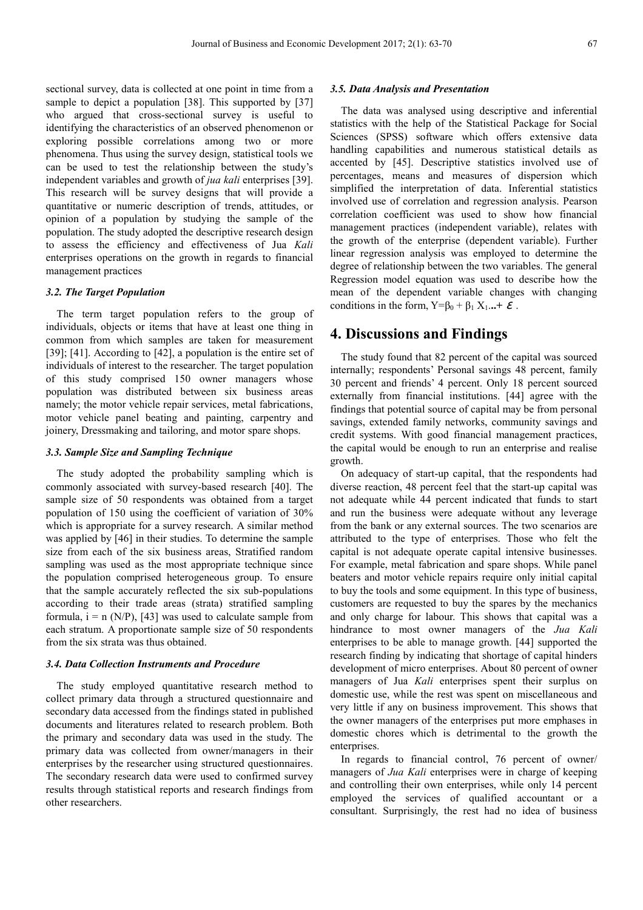sectional survey, data is collected at one point in time from a sample to depict a population [38]. This supported by [37] who argued that cross-sectional survey is useful to identifying the characteristics of an observed phenomenon or exploring possible correlations among two or more phenomena. Thus using the survey design, statistical tools we can be used to test the relationship between the study's independent variables and growth of *jua kali* enterprises [39]. This research will be survey designs that will provide a quantitative or numeric description of trends, attitudes, or opinion of a population by studying the sample of the population. The study adopted the descriptive research design to assess the efficiency and effectiveness of Jua *Kali* enterprises operations on the growth in regards to financial management practices

#### *3.2. The Target Population*

The term target population refers to the group of individuals, objects or items that have at least one thing in common from which samples are taken for measurement [39]; [41]. According to [42], a population is the entire set of individuals of interest to the researcher. The target population of this study comprised 150 owner managers whose population was distributed between six business areas namely; the motor vehicle repair services, metal fabrications, motor vehicle panel beating and painting, carpentry and joinery, Dressmaking and tailoring, and motor spare shops.

#### *3.3. Sample Size and Sampling Technique*

The study adopted the probability sampling which is commonly associated with survey-based research [40]. The sample size of 50 respondents was obtained from a target population of 150 using the coefficient of variation of 30% which is appropriate for a survey research. A similar method was applied by [46] in their studies. To determine the sample size from each of the six business areas, Stratified random sampling was used as the most appropriate technique since the population comprised heterogeneous group. To ensure that the sample accurately reflected the six sub-populations according to their trade areas (strata) stratified sampling formula,  $i = n (N/P)$ , [43] was used to calculate sample from each stratum. A proportionate sample size of 50 respondents from the six strata was thus obtained.

#### *3.4. Data Collection Instruments and Procedure*

The study employed quantitative research method to collect primary data through a structured questionnaire and secondary data accessed from the findings stated in published documents and literatures related to research problem. Both the primary and secondary data was used in the study. The primary data was collected from owner/managers in their enterprises by the researcher using structured questionnaires. The secondary research data were used to confirmed survey results through statistical reports and research findings from other researchers.

#### *3.5. Data Analysis and Presentation*

The data was analysed using descriptive and inferential statistics with the help of the Statistical Package for Social Sciences (SPSS) software which offers extensive data handling capabilities and numerous statistical details as accented by [45]. Descriptive statistics involved use of percentages, means and measures of dispersion which simplified the interpretation of data. Inferential statistics involved use of correlation and regression analysis. Pearson correlation coefficient was used to show how financial management practices (independent variable), relates with the growth of the enterprise (dependent variable). Further linear regression analysis was employed to determine the degree of relationship between the two variables. The general Regression model equation was used to describe how the mean of the dependent variable changes with changing conditions in the form,  $Y = \beta_0 + \beta_1 X_1 \dots + \varepsilon$ .

# **4. Discussions and Findings**

The study found that 82 percent of the capital was sourced internally; respondents' Personal savings 48 percent, family 30 percent and friends' 4 percent. Only 18 percent sourced externally from financial institutions. [44] agree with the findings that potential source of capital may be from personal savings, extended family networks, community savings and credit systems. With good financial management practices, the capital would be enough to run an enterprise and realise growth.

On adequacy of start-up capital, that the respondents had diverse reaction, 48 percent feel that the start-up capital was not adequate while 44 percent indicated that funds to start and run the business were adequate without any leverage from the bank or any external sources. The two scenarios are attributed to the type of enterprises. Those who felt the capital is not adequate operate capital intensive businesses. For example, metal fabrication and spare shops. While panel beaters and motor vehicle repairs require only initial capital to buy the tools and some equipment. In this type of business, customers are requested to buy the spares by the mechanics and only charge for labour. This shows that capital was a hindrance to most owner managers of the *Jua Kali* enterprises to be able to manage growth. [44] supported the research finding by indicating that shortage of capital hinders development of micro enterprises. About 80 percent of owner managers of Jua *Kali* enterprises spent their surplus on domestic use, while the rest was spent on miscellaneous and very little if any on business improvement. This shows that the owner managers of the enterprises put more emphases in domestic chores which is detrimental to the growth the enterprises.

In regards to financial control, 76 percent of owner/ managers of *Jua Kali* enterprises were in charge of keeping and controlling their own enterprises, while only 14 percent employed the services of qualified accountant or a consultant. Surprisingly, the rest had no idea of business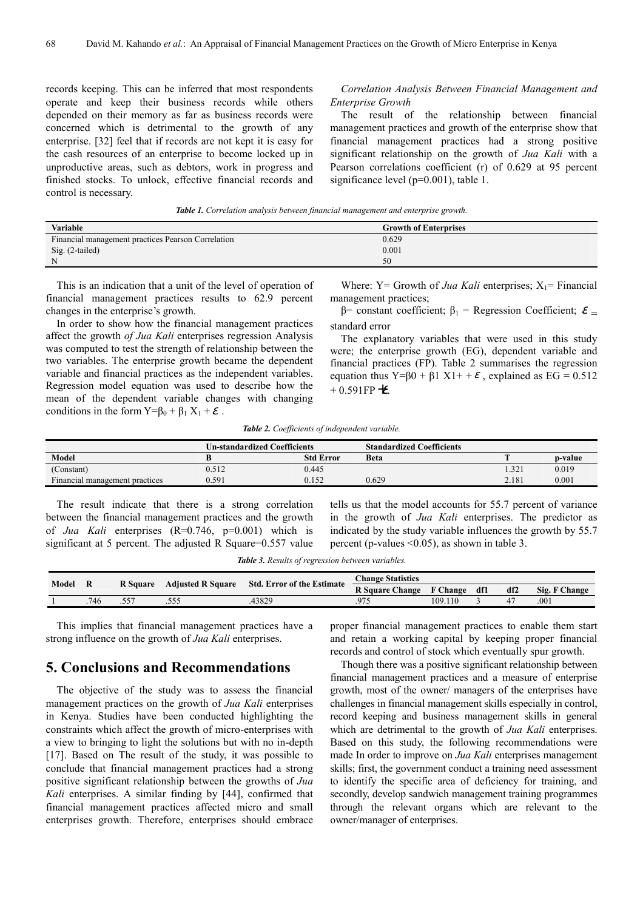records keeping. This can be inferred that most respondents operate and keep their business records while others depended on their memory as far as business records were concerned which is detrimental to the growth of any enterprise. [32] feel that if records are not kept it is easy for the cash resources of an enterprise to become locked up in unproductive areas, such as debtors, work in progress and finished stocks. To unlock, effective financial records and control is necessary.

#### *Correlation Analysis Between Financial Management and Enterprise Growth*

The result of the relationship between financial management practices and growth of the enterprise show that financial management practices had a strong positive significant relationship on the growth of *Jua Kali* with a Pearson correlations coefficient (r) of 0.629 at 95 percent significance level (p=0.001), table 1.

*Table 1. Correlation analysis between financial management and enterprise growth.* 

| <b>Variable</b>                                    | <b>Growth of Enterprises</b> |
|----------------------------------------------------|------------------------------|
| Financial management practices Pearson Correlation | 0.629                        |
| Sig. (2-tailed)                                    | 0.001                        |
|                                                    | 50                           |

This is an indication that a unit of the level of operation of financial management practices results to 62.9 percent changes in the enterprise's growth.

In order to show how the financial management practices affect the growth *of Jua Kali* enterprises regression Analysis was computed to test the strength of relationship between the two variables. The enterprise growth became the dependent variable and financial practices as the independent variables. Regression model equation was used to describe how the mean of the dependent variable changes with changing conditions in the form  $Y = \beta_0 + \beta_1 X_1 + \varepsilon$ .

Where:  $Y = Growth of *Jua Kali* enterprises;  $X_1 = Financial$$ management practices;

β= constant coefficient;  $β_1$  = Regression Coefficient;  $\mathcal{E}$  = standard error

The explanatory variables that were used in this study were; the enterprise growth (EG), dependent variable and financial practices (FP). Table 2 summarises the regression equation thus Y= $\beta$ 0 +  $\beta$ 1 X1+ +  $\varepsilon$ , explained as EG = 0.512  $+ 0.591$ FP+ $\epsilon$ .

*Table 2. Coefficients of independent variable.* 

|                                | <b>Un-standardized Coefficients</b> |                  | <b>Standardized Coefficients</b> |       |         |
|--------------------------------|-------------------------------------|------------------|----------------------------------|-------|---------|
| <b>Model</b>                   |                                     | <b>Std Error</b> | Beta                             |       | p-value |
| (Constant)                     | 0.512                               | 0.445            |                                  | .321  | 0.019   |
| Financial management practices | 0.591                               | 0.152            | 0.629                            | 2.181 | 0.001   |

The result indicate that there is a strong correlation between the financial management practices and the growth of *Jua Kali* enterprises (R=0.746, p=0.001) which is significant at 5 percent. The adjusted R Square=0.557 value tells us that the model accounts for 55.7 percent of variance in the growth of *Jua Kali* enterprises. The predictor as indicated by the study variable influences the growth by 55.7 percent (p-values <0.05), as shown in table 3.

*Table 3. Results of regression between variables.* 

| Model |      | <b>R</b> Square | <b>Adjusted R Square</b> | <b>Std. Error of the Estimate</b> | <b>Change Statistics</b> |         |     |     |               |
|-------|------|-----------------|--------------------------|-----------------------------------|--------------------------|---------|-----|-----|---------------|
|       |      |                 |                          |                                   | R Square Change F Change |         | df1 | df2 | Sig. F Change |
|       | .746 |                 |                          | 43829                             |                          | 109.110 |     |     | .001          |

This implies that financial management practices have a strong influence on the growth of *Jua Kali* enterprises.

# **5. Conclusions and Recommendations**

The objective of the study was to assess the financial management practices on the growth of *Jua Kali* enterprises in Kenya. Studies have been conducted highlighting the constraints which affect the growth of micro-enterprises with a view to bringing to light the solutions but with no in-depth [17]. Based on The result of the study, it was possible to conclude that financial management practices had a strong positive significant relationship between the growths of *Jua Kali* enterprises. A similar finding by [44], confirmed that financial management practices affected micro and small enterprises growth. Therefore, enterprises should embrace

proper financial management practices to enable them start and retain a working capital by keeping proper financial records and control of stock which eventually spur growth.

Though there was a positive significant relationship between financial management practices and a measure of enterprise growth, most of the owner/ managers of the enterprises have challenges in financial management skills especially in control, record keeping and business management skills in general which are detrimental to the growth of *Jua Kali* enterprises. Based on this study, the following recommendations were made In order to improve on *Jua Kali* enterprises management skills; first, the government conduct a training need assessment to identify the specific area of deficiency for training, and secondly, develop sandwich management training programmes through the relevant organs which are relevant to the owner/manager of enterprises.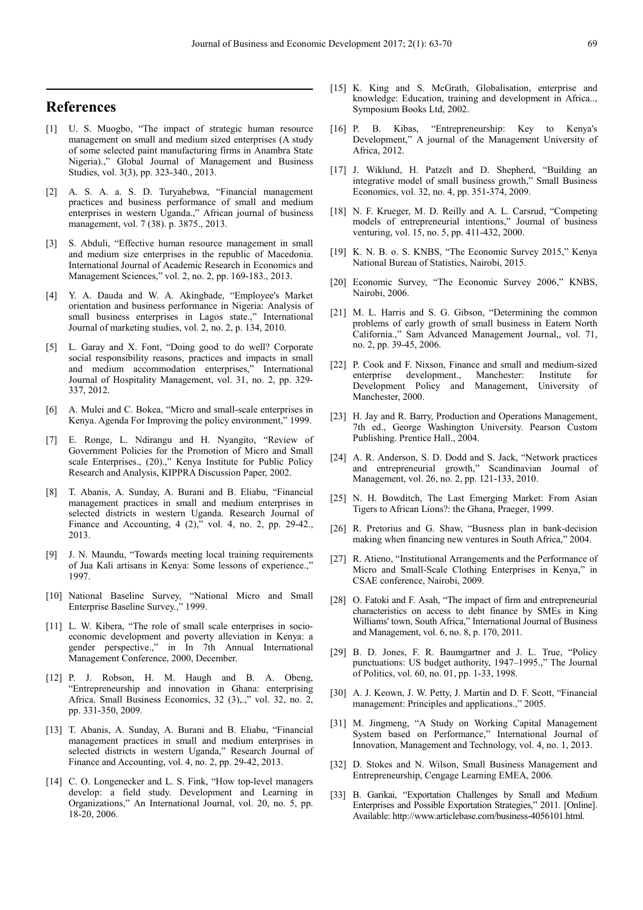# **References**

- [1] U. S. Muogbo, "The impact of strategic human resource management on small and medium sized enterprises (A study of some selected paint manufacturing firms in Anambra State Nigeria).," Global Journal of Management and Business Studies, vol. 3(3), pp. 323-340., 2013.
- [2] A. S. A. a. S. D. Turyahebwa, "Financial management practices and business performance of small and medium enterprises in western Uganda.," African journal of business management, vol. 7 (38). p. 3875., 2013.
- [3] S. Abduli, "Effective human resource management in small and medium size enterprises in the republic of Macedonia. International Journal of Academic Research in Economics and Management Sciences," vol. 2, no. 2, pp. 169-183., 2013.
- [4] Y. A. Dauda and W. A. Akingbade, "Employee's Market orientation and business performance in Nigeria: Analysis of small business enterprises in Lagos state.," International Journal of marketing studies, vol. 2, no. 2, p. 134, 2010.
- [5] L. Garay and X. Font, "Doing good to do well? Corporate social responsibility reasons, practices and impacts in small and medium accommodation enterprises," International Journal of Hospitality Management, vol. 31, no. 2, pp. 329- 337, 2012.
- [6] A. Mulei and C. Bokea, "Micro and small-scale enterprises in Kenya. Agenda For Improving the policy environment," 1999.
- [7] E. Ronge, L. Ndirangu and H. Nyangito, "Review of Government Policies for the Promotion of Micro and Small scale Enterprises., (20).," Kenya Institute for Public Policy Research and Analysis, KIPPRA Discussion Paper, 2002.
- [8] T. Abanis, A. Sunday, A. Burani and B. Eliabu, "Financial management practices in small and medium enterprises in selected districts in western Uganda. Research Journal of Finance and Accounting, 4  $(2)$ , vol. 4, no. 2, pp. 29-42., 2013.
- [9] J. N. Maundu, "Towards meeting local training requirements of Jua Kali artisans in Kenya: Some lessons of experience.," 1997.
- [10] National Baseline Survey, "National Micro and Small Enterprise Baseline Survey.," 1999.
- [11] L. W. Kibera, "The role of small scale enterprises in socioeconomic development and poverty alleviation in Kenya: a gender perspective.," in In 7th Annual International Management Conference, 2000, December.
- [12] P. J. Robson, H. M. Haugh and B. A. Obeng, "Entrepreneurship and innovation in Ghana: enterprising Africa. Small Business Economics, 32 (3),.," vol. 32, no. 2, pp. 331-350, 2009.
- [13] T. Abanis, A. Sunday, A. Burani and B. Eliabu, "Financial management practices in small and medium enterprises in selected districts in western Uganda," Research Journal of Finance and Accounting, vol. 4, no. 2, pp. 29-42, 2013.
- [14] C. O. Longenecker and L. S. Fink, "How top-level managers develop: a field study. Development and Learning in Organizations," An International Journal, vol. 20, no. 5, pp. 18-20, 2006.
- [15] K. King and S. McGrath, Globalisation, enterprise and knowledge: Education, training and development in Africa.., Symposium Books Ltd, 2002.
- [16] P. B. Kibas, "Entrepreneurship: Key to Kenya's Development," A journal of the Management University of Africa, 2012.
- [17] J. Wiklund, H. Patzelt and D. Shepherd, "Building an integrative model of small business growth," Small Business Economics, vol. 32, no. 4, pp. 351-374, 2009.
- [18] N. F. Krueger, M. D. Reilly and A. L. Carsrud, "Competing models of entrepreneurial intentions," Journal of business venturing, vol. 15, no. 5, pp. 411-432, 2000.
- [19] K. N. B. o. S. KNBS, "The Economic Survey 2015," Kenya National Bureau of Statistics, Nairobi, 2015.
- [20] Economic Survey, "The Economic Survey 2006," KNBS, Nairobi, 2006.
- [21] M. L. Harris and S. G. Gibson, "Determining the common problems of early growth of small business in Eatern North California.," Sam Advanced Management Journal,, vol. 71, no. 2, pp. 39-45, 2006.
- [22] P. Cook and F. Nixson, Finance and small and medium-sized enterprise development., Manchester: Institute for Development Policy and Management, University of Manchester, 2000.
- [23] H. Jay and R. Barry, Production and Operations Management, 7th ed., George Washington University. Pearson Custom Publishing. Prentice Hall., 2004.
- [24] A. R. Anderson, S. D. Dodd and S. Jack, "Network practices and entrepreneurial growth," Scandinavian Journal of Management, vol. 26, no. 2, pp. 121-133, 2010.
- [25] N. H. Bowditch, The Last Emerging Market: From Asian Tigers to African Lions?: the Ghana, Praeger, 1999.
- [26] R. Pretorius and G. Shaw, "Busness plan in bank-decision making when financing new ventures in South Africa," 2004.
- [27] R. Atieno, "Institutional Arrangements and the Performance of Micro and Small-Scale Clothing Enterprises in Kenya," in CSAE conference, Nairobi, 2009.
- [28] O. Fatoki and F. Asah, "The impact of firm and entrepreneurial characteristics on access to debt finance by SMEs in King Williams' town, South Africa," International Journal of Business and Management, vol. 6, no. 8, p. 170, 2011.
- [29] B. D. Jones, F. R. Baumgartner and J. L. True, "Policy punctuations: US budget authority, 1947–1995.," The Journal of Politics, vol. 60, no. 01, pp. 1-33, 1998.
- [30] A. J. Keown, J. W. Petty, J. Martin and D. F. Scott, "Financial management: Principles and applications.," 2005.
- [31] M. Jingmeng, "A Study on Working Capital Management System based on Performance," International Journal of Innovation, Management and Technology, vol. 4, no. 1, 2013.
- [32] D. Stokes and N. Wilson, Small Business Management and Entrepreneurship, Cengage Learning EMEA, 2006.
- [33] B. Garikai, "Exportation Challenges by Small and Medium Enterprises and Possible Exportation Strategies," 2011. [Online]. Available: http://www.articlebase.com/business-4056101.html.